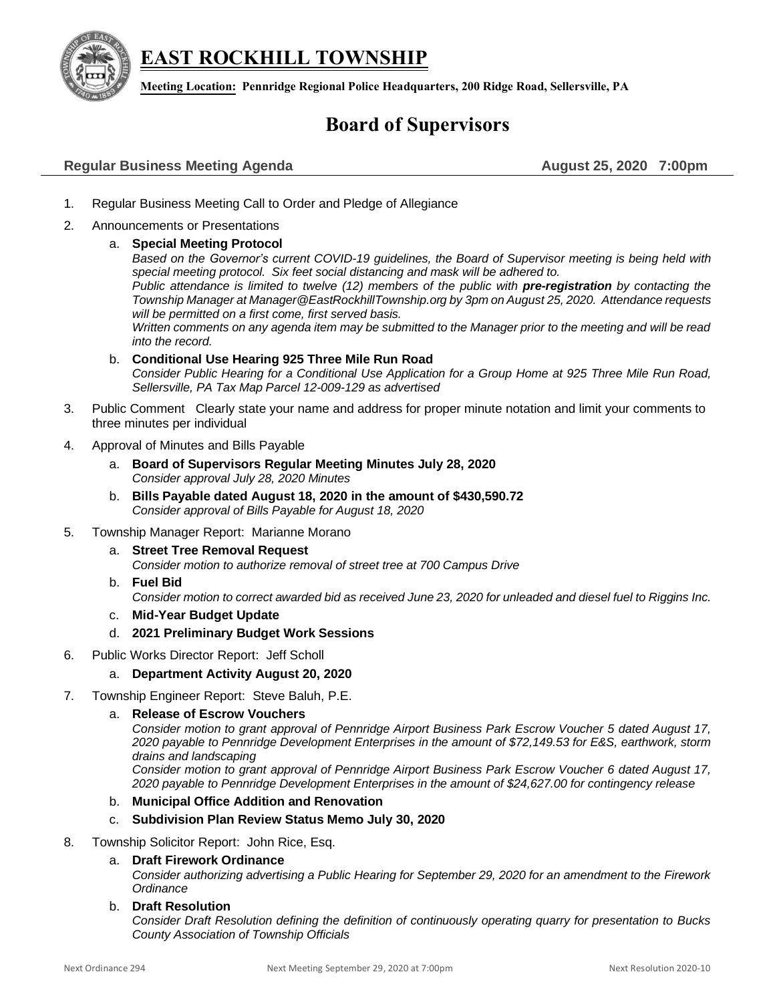**EAST ROCKHILL TOWNSHIP**



**Meeting Location: Pennridge Regional Police Headquarters, 200 Ridge Road, Sellersville, PA**

# **Board of Supervisors**

# **Regular Business Meeting Agenda August 25, 2020 7:00pm**

- 1. Regular Business Meeting Call to Order and Pledge of Allegiance
- 2. Announcements or Presentations

### a. **Special Meeting Protocol**

*Based on the Governor's current COVID-19 guidelines, the Board of Supervisor meeting is being held with special meeting protocol. Six feet social distancing and mask will be adhered to.* 

*Public attendance is limited to twelve (12) members of the public with pre-registration by contacting the Township Manager a[t Manager@EastRockhillTownship.org](mailto:Manager@EastRockhillTownship.org) by 3pm on August 25, 2020. Attendance requests will be permitted on a first come, first served basis.* 

*Written comments on any agenda item may be submitted to the Manager prior to the meeting and will be read into the record.*

- b. **Conditional Use Hearing 925 Three Mile Run Road** *Consider Public Hearing for a Conditional Use Application for a Group Home at 925 Three Mile Run Road, Sellersville, PA Tax Map Parcel 12-009-129 as advertised*
- 3. Public Comment Clearly state your name and address for proper minute notation and limit your comments to three minutes per individual
- 4. Approval of Minutes and Bills Payable
	- a. **Board of Supervisors Regular Meeting Minutes July 28, 2020** *Consider approval July 28, 2020 Minutes*
	- b. **Bills Payable dated August 18, 2020 in the amount of \$430,590.72** *Consider approval of Bills Payable for August 18, 2020*
- 5. Township Manager Report: Marianne Morano
	- a. **Street Tree Removal Request** *Consider motion to authorize removal of street tree at 700 Campus Drive*
	- b. **Fuel Bid**
		- *Consider motion to correct awarded bid as received June 23, 2020 for unleaded and diesel fuel to Riggins Inc.*
	- c. **Mid-Year Budget Update**
	- d. **2021 Preliminary Budget Work Sessions**
- 6. Public Works Director Report: Jeff Scholl
	- a. **Department Activity August 20, 2020**
- 7. Township Engineer Report: Steve Baluh, P.E.

# a. **Release of Escrow Vouchers**

*Consider motion to grant approval of Pennridge Airport Business Park Escrow Voucher 5 dated August 17, 2020 payable to Pennridge Development Enterprises in the amount of \$72,149.53 for E&S, earthwork, storm drains and landscaping*

*Consider motion to grant approval of Pennridge Airport Business Park Escrow Voucher 6 dated August 17, 2020 payable to Pennridge Development Enterprises in the amount of \$24,627.00 for contingency release*

#### b. **Municipal Office Addition and Renovation**

# c. **Subdivision Plan Review Status Memo July 30, 2020**

#### 8. Township Solicitor Report: John Rice, Esq.

# a. **Draft Firework Ordinance**

*Consider authorizing advertising a Public Hearing for September 29, 2020 for an amendment to the Firework Ordinance* 

#### b. **Draft Resolution**

*Consider Draft Resolution defining the definition of continuously operating quarry for presentation to Bucks County Association of Township Officials*